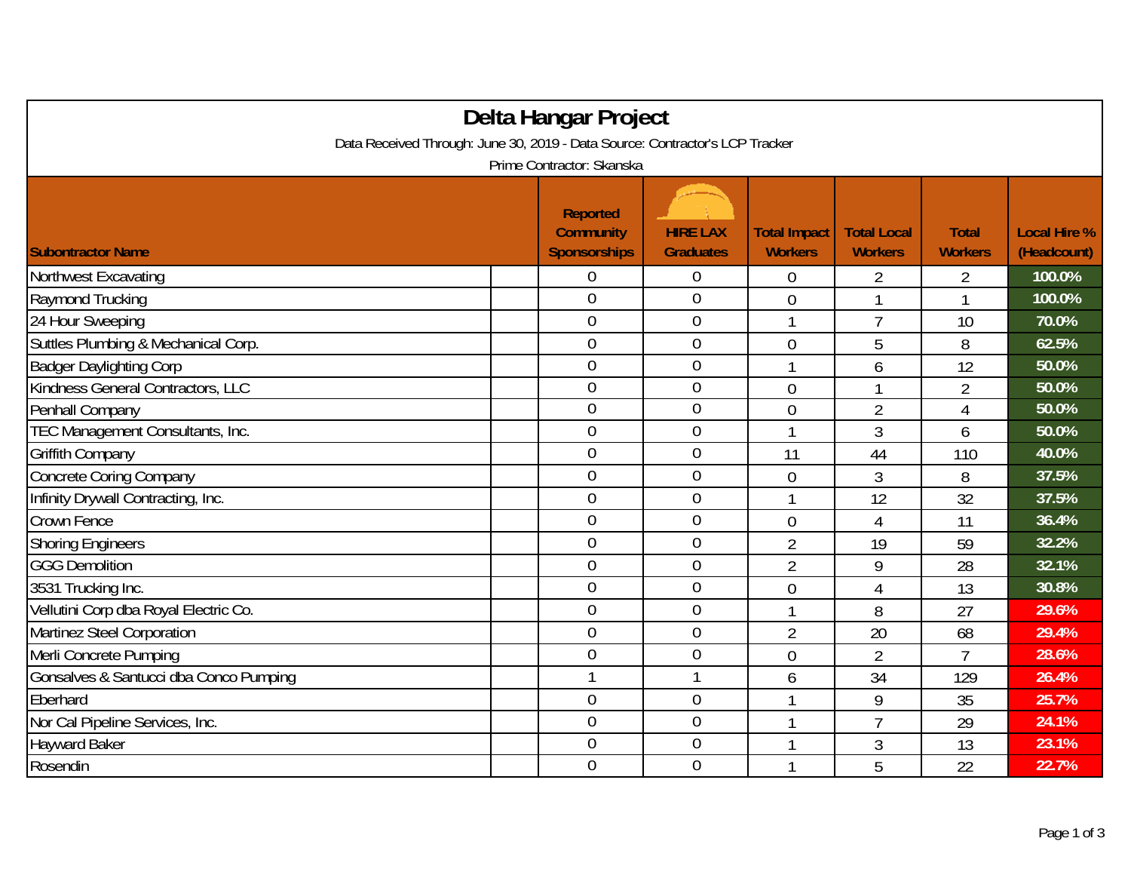| Delta Hangar Project                                                         |                                                            |                                     |                                       |                                      |                                |                                    |  |  |
|------------------------------------------------------------------------------|------------------------------------------------------------|-------------------------------------|---------------------------------------|--------------------------------------|--------------------------------|------------------------------------|--|--|
| Data Received Through: June 30, 2019 - Data Source: Contractor's LCP Tracker |                                                            |                                     |                                       |                                      |                                |                                    |  |  |
| Prime Contractor: Skanska                                                    |                                                            |                                     |                                       |                                      |                                |                                    |  |  |
| <b>Subontractor Name</b>                                                     | <b>Reported</b><br><b>Community</b><br><b>Sponsorships</b> | <b>HIRE LAX</b><br><b>Graduates</b> | <b>Total Impact</b><br><b>Workers</b> | <b>Total Local</b><br><b>Workers</b> | <b>Total</b><br><b>Workers</b> | <b>Local Hire %</b><br>(Headcount) |  |  |
| Northwest Excavating                                                         | 0                                                          | $\boldsymbol{0}$                    | 0                                     | $\overline{2}$                       | $\overline{2}$                 | 100.0%                             |  |  |
| Raymond Trucking                                                             | $\overline{0}$                                             | $\boldsymbol{0}$                    | $\overline{0}$                        | 1                                    | 1                              | 100.0%                             |  |  |
| 24 Hour Sweeping                                                             | $\mathbf 0$                                                | $\mathbf 0$                         | 1                                     | $\overline{7}$                       | 10                             | 70.0%                              |  |  |
| Suttles Plumbing & Mechanical Corp.                                          | $\overline{0}$                                             | $\overline{0}$                      | $\overline{0}$                        | 5                                    | 8                              | 62.5%                              |  |  |
| <b>Badger Daylighting Corp</b>                                               | 0                                                          | $\mathbf 0$                         | 1                                     | 6                                    | 12                             | 50.0%                              |  |  |
| Kindness General Contractors, LLC                                            | $\overline{0}$                                             | $\overline{0}$                      | $\overline{0}$                        |                                      | $\overline{2}$                 | 50.0%                              |  |  |
| Penhall Company                                                              | $\overline{0}$                                             | $\boldsymbol{0}$                    | $\overline{0}$                        | $\overline{2}$                       | $\overline{4}$                 | 50.0%                              |  |  |
| TEC Management Consultants, Inc.                                             | $\mathbf 0$                                                | $\mathbf 0$                         | 1                                     | 3                                    | 6                              | 50.0%                              |  |  |
| Griffith Company                                                             | $\overline{0}$                                             | $\mathbf 0$                         | 11                                    | 44                                   | 110                            | 40.0%                              |  |  |
| <b>Concrete Coring Company</b>                                               | $\overline{0}$                                             | $\overline{0}$                      | 0                                     | 3                                    | 8                              | 37.5%                              |  |  |
| Infinity Drywall Contracting, Inc.                                           | $\overline{0}$                                             | $\mathbf 0$                         | 1                                     | 12                                   | 32                             | 37.5%                              |  |  |
| Crown Fence                                                                  | 0                                                          | $\boldsymbol{0}$                    | 0                                     | 4                                    | 11                             | 36.4%                              |  |  |
| <b>Shoring Engineers</b>                                                     | $\overline{0}$                                             | $\mathbf 0$                         | $\overline{2}$                        | 19                                   | 59                             | 32.2%                              |  |  |
| <b>GGG Demolition</b>                                                        | 0                                                          | $\mathbf{0}$                        | $\overline{2}$                        | 9                                    | 28                             | 32.1%                              |  |  |
| 3531 Trucking Inc.                                                           | $\overline{0}$                                             | $\mathbf 0$                         | $\overline{0}$                        | 4                                    | 13                             | 30.8%                              |  |  |
| Vellutini Corp dba Royal Electric Co.                                        | $\overline{0}$                                             | $\mathbf 0$                         | 1                                     | 8                                    | 27                             | 29.6%                              |  |  |
| Martinez Steel Corporation                                                   | $\overline{0}$                                             | $\mathbf 0$                         | $\overline{2}$                        | 20                                   | 68                             | 29.4%                              |  |  |
| Merli Concrete Pumping                                                       | $\overline{0}$                                             | $\mathbf{0}$                        | 0                                     | $\overline{2}$                       | 7                              | 28.6%                              |  |  |
| Gonsalves & Santucci dba Conco Pumping                                       | 1                                                          | $\mathbf{1}$                        | 6                                     | 34                                   | 129                            | 26.4%                              |  |  |
| Eberhard                                                                     | $\overline{0}$                                             | $\mathbf 0$                         | 1                                     | 9                                    | 35                             | 25.7%                              |  |  |
| Nor Cal Pipeline Services, Inc.                                              | $\overline{0}$                                             | $\mathbf 0$                         | 1                                     | $\overline{7}$                       | 29                             | 24.1%                              |  |  |
| <b>Hayward Baker</b>                                                         | 0                                                          | $\boldsymbol{0}$                    | 1                                     | 3                                    | 13                             | 23.1%                              |  |  |
| Rosendin                                                                     | $\overline{0}$                                             | $\overline{0}$                      | 1                                     | 5                                    | 22                             | 22.7%                              |  |  |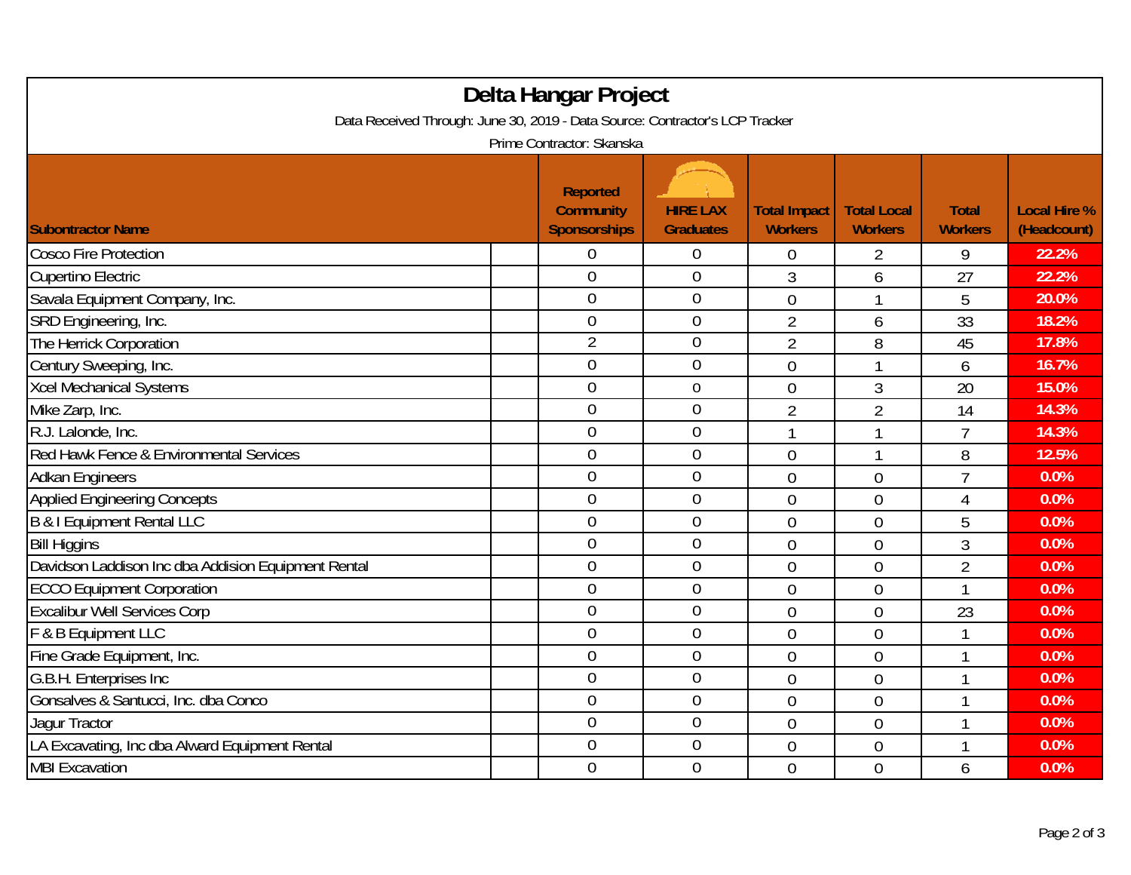| Delta Hangar Project<br>Data Received Through: June 30, 2019 - Data Source: Contractor's LCP Tracker<br>Prime Contractor: Skanska |                |                  |                |                         |                |       |  |  |
|-----------------------------------------------------------------------------------------------------------------------------------|----------------|------------------|----------------|-------------------------|----------------|-------|--|--|
|                                                                                                                                   |                |                  |                |                         |                |       |  |  |
| <b>Cosco Fire Protection</b>                                                                                                      | 0              | 0                | $\overline{0}$ | 2                       | 9              | 22.2% |  |  |
| Cupertino Electric                                                                                                                | $\overline{0}$ | 0                | 3              | 6                       | 27             | 22.2% |  |  |
| Savala Equipment Company, Inc.                                                                                                    | $\overline{0}$ | $\overline{0}$   | $\overline{0}$ | 1                       | 5              | 20.0% |  |  |
| SRD Engineering, Inc.                                                                                                             | 0              | $\boldsymbol{0}$ | $\overline{2}$ | 6                       | 33             | 18.2% |  |  |
| The Herrick Corporation                                                                                                           | $\overline{2}$ | $\mathbf 0$      | $\overline{2}$ | 8                       | 45             | 17.8% |  |  |
| Century Sweeping, Inc.                                                                                                            | $\overline{0}$ | $\overline{0}$   | $\overline{0}$ | 1                       | 6              | 16.7% |  |  |
| <b>Xcel Mechanical Systems</b>                                                                                                    | 0              | $\boldsymbol{0}$ | $\theta$       | 3                       | 20             | 15.0% |  |  |
| Mike Zarp, Inc.                                                                                                                   | 0              | 0                | $\overline{2}$ | $\overline{2}$          | 14             | 14.3% |  |  |
| R.J. Lalonde, Inc.                                                                                                                | $\overline{0}$ | $\mathbf 0$      |                | $\mathbf{\overline{1}}$ | $\overline{7}$ | 14.3% |  |  |
| Red Hawk Fence & Environmental Services                                                                                           | $\overline{0}$ | $\boldsymbol{0}$ | $\theta$       | 1                       | 8              | 12.5% |  |  |
| <b>Adkan Engineers</b>                                                                                                            | $\overline{0}$ | $\mathbf 0$      | $\overline{0}$ | $\overline{0}$          | $\overline{7}$ | 0.0%  |  |  |
| <b>Applied Engineering Concepts</b>                                                                                               | $\overline{0}$ | $\boldsymbol{0}$ | $\overline{0}$ | $\overline{0}$          | 4              | 0.0%  |  |  |
| <b>B &amp; I Equipment Rental LLC</b>                                                                                             | $\overline{0}$ | $\overline{0}$   | $\theta$       | $\theta$                | 5              | 0.0%  |  |  |
| <b>Bill Higgins</b>                                                                                                               | $\overline{0}$ | $\overline{0}$   | $\overline{0}$ | $\overline{0}$          | 3              | 0.0%  |  |  |
| Davidson Laddison Inc dba Addision Equipment Rental                                                                               | $\mathbf 0$    | $\boldsymbol{0}$ | $\overline{0}$ | $\overline{0}$          | $\overline{2}$ | 0.0%  |  |  |
| <b>ECCO Equipment Corporation</b>                                                                                                 | $\mathbf 0$    | $\mathbf 0$      | $\overline{0}$ | $\overline{0}$          | $\mathbf{1}$   | 0.0%  |  |  |
| <b>Excalibur Well Services Corp</b>                                                                                               | $\overline{0}$ | $\overline{0}$   | $\overline{0}$ | $\overline{0}$          | 23             | 0.0%  |  |  |
| F & B Equipment LLC                                                                                                               | $\overline{0}$ | $\overline{0}$   | $\overline{0}$ | $\overline{0}$          | $\mathbf{1}$   | 0.0%  |  |  |
| Fine Grade Equipment, Inc.                                                                                                        | $\overline{0}$ | $\overline{0}$   | $\overline{0}$ | $\overline{0}$          | $\mathbf{1}$   | 0.0%  |  |  |
| G.B.H. Enterprises Inc                                                                                                            | $\overline{0}$ | $\overline{0}$   | $\overline{0}$ | $\overline{0}$          | 1              | 0.0%  |  |  |
| Gonsalves & Santucci, Inc. dba Conco                                                                                              | $\overline{0}$ | $\boldsymbol{0}$ | $\overline{0}$ | $\mathbf 0$             |                | 0.0%  |  |  |
| Jagur Tractor                                                                                                                     | $\mathbf 0$    | $\mathbf 0$      | $\overline{0}$ | $\overline{0}$          | 1              | 0.0%  |  |  |
| LA Excavating, Inc dba Alward Equipment Rental                                                                                    | $\overline{0}$ | $\overline{0}$   | $\mathbf 0$    | $\overline{0}$          |                | 0.0%  |  |  |
| <b>MBI Excavation</b>                                                                                                             | $\overline{0}$ | $\mathbf 0$      | $\overline{0}$ | $\overline{0}$          | 6              | 0.0%  |  |  |